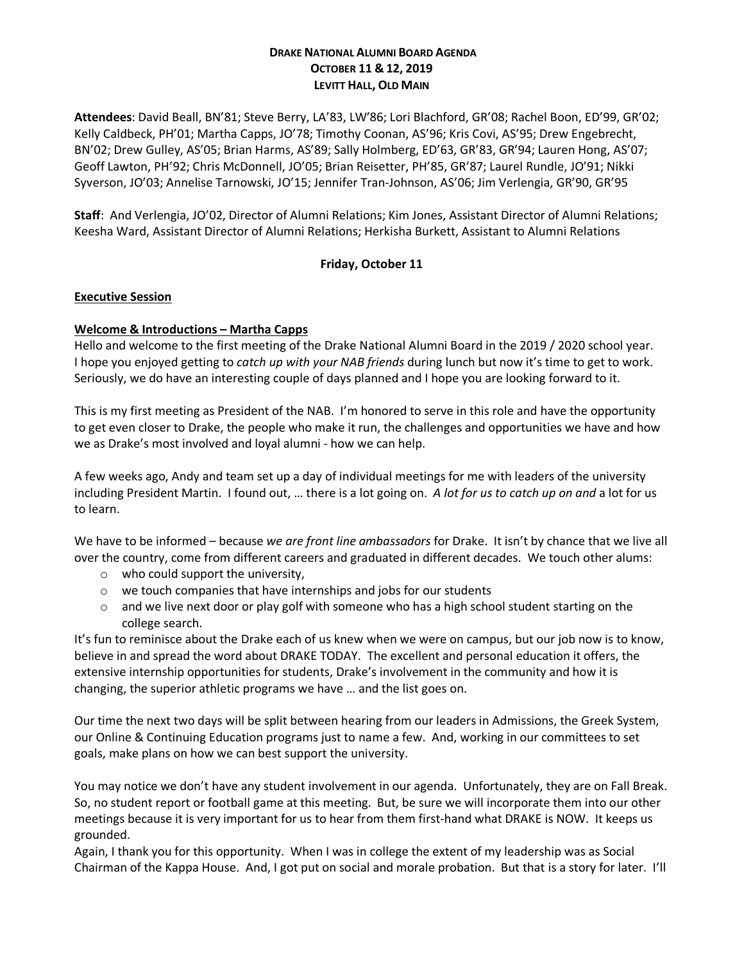## **DRAKE NATIONAL ALUMNI BOARD AGENDA OCTOBER 11 & 12, 2019 LEVITT HALL, OLD MAIN**

**Attendees**: David Beall, BN'81; Steve Berry, LA'83, LW'86; Lori Blachford, GR'08; Rachel Boon, ED'99, GR'02; Kelly Caldbeck, PH'01; Martha Capps, JO'78; Timothy Coonan, AS'96; Kris Covi, AS'95; Drew Engebrecht, BN'02; Drew Gulley, AS'05; Brian Harms, AS'89; Sally Holmberg, ED'63, GR'83, GR'94; Lauren Hong, AS'07; Geoff Lawton, PH'92; Chris McDonnell, JO'05; Brian Reisetter, PH'85, GR'87; Laurel Rundle, JO'91; Nikki Syverson, JO'03; Annelise Tarnowski, JO'15; Jennifer Tran-Johnson, AS'06; Jim Verlengia, GR'90, GR'95

**Staff**: And Verlengia, JO'02, Director of Alumni Relations; Kim Jones, Assistant Director of Alumni Relations; Keesha Ward, Assistant Director of Alumni Relations; Herkisha Burkett, Assistant to Alumni Relations

## **Friday, October 11**

## **Executive Session**

## **Welcome & Introductions – Martha Capps**

Hello and welcome to the first meeting of the Drake National Alumni Board in the 2019 / 2020 school year. I hope you enjoyed getting to *catch up with your NAB friends* during lunch but now it's time to get to work. Seriously, we do have an interesting couple of days planned and I hope you are looking forward to it.

This is my first meeting as President of the NAB. I'm honored to serve in this role and have the opportunity to get even closer to Drake, the people who make it run, the challenges and opportunities we have and how we as Drake's most involved and loyal alumni - how we can help.

A few weeks ago, Andy and team set up a day of individual meetings for me with leaders of the university including President Martin. I found out, … there is a lot going on. *A lot for us to catch up on and* a lot for us to learn.

We have to be informed – because *we are front line ambassadors* for Drake. It isn't by chance that we live all over the country, come from different careers and graduated in different decades. We touch other alums:

- o who could support the university,
- o we touch companies that have internships and jobs for our students
- $\circ$  and we live next door or play golf with someone who has a high school student starting on the college search.

It's fun to reminisce about the Drake each of us knew when we were on campus, but our job now is to know, believe in and spread the word about DRAKE TODAY. The excellent and personal education it offers, the extensive internship opportunities for students, Drake's involvement in the community and how it is changing, the superior athletic programs we have … and the list goes on.

Our time the next two days will be split between hearing from our leaders in Admissions, the Greek System, our Online & Continuing Education programs just to name a few. And, working in our committees to set goals, make plans on how we can best support the university.

You may notice we don't have any student involvement in our agenda. Unfortunately, they are on Fall Break. So, no student report or football game at this meeting. But, be sure we will incorporate them into our other meetings because it is very important for us to hear from them first-hand what DRAKE is NOW. It keeps us grounded.

Again, I thank you for this opportunity. When I was in college the extent of my leadership was as Social Chairman of the Kappa House. And, I got put on social and morale probation. But that is a story for later. I'll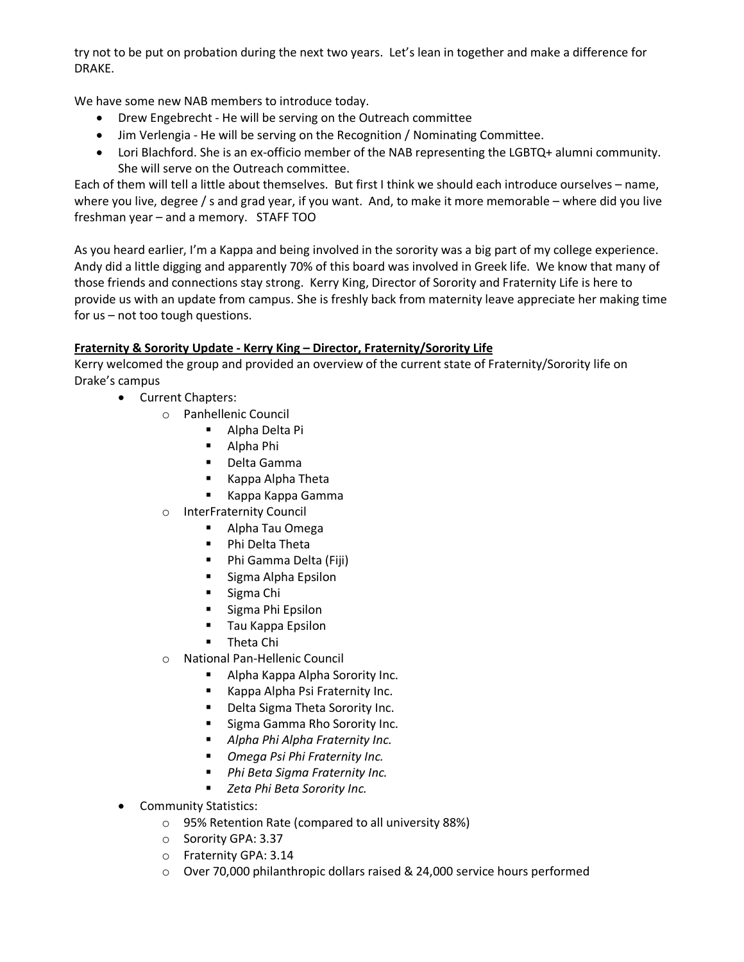try not to be put on probation during the next two years. Let's lean in together and make a difference for DRAKE.

We have some new NAB members to introduce today.

- Drew Engebrecht He will be serving on the Outreach committee
- Jim Verlengia He will be serving on the Recognition / Nominating Committee.
- Lori Blachford. She is an ex-officio member of the NAB representing the LGBTQ+ alumni community. She will serve on the Outreach committee.

Each of them will tell a little about themselves. But first I think we should each introduce ourselves – name, where you live, degree / s and grad year, if you want. And, to make it more memorable – where did you live freshman year – and a memory. STAFF TOO

As you heard earlier, I'm a Kappa and being involved in the sorority was a big part of my college experience. Andy did a little digging and apparently 70% of this board was involved in Greek life. We know that many of those friends and connections stay strong. Kerry King, Director of Sorority and Fraternity Life is here to provide us with an update from campus. She is freshly back from maternity leave appreciate her making time for us – not too tough questions.

## **Fraternity & Sorority Update - Kerry King – Director, Fraternity/Sorority Life**

Kerry welcomed the group and provided an overview of the current state of Fraternity/Sorority life on Drake's campus

- Current Chapters:
	- o Panhellenic Council
		- § Alpha Delta Pi
		- § Alpha Phi
		- Delta Gamma
		- Kappa Alpha Theta
		- § Kappa Kappa Gamma
	- o InterFraternity Council
		- § Alpha Tau Omega
		- Phi Delta Theta
		- Phi Gamma Delta (Fiji)
		- Sigma Alpha Epsilon
		- Sigma Chi
		- Sigma Phi Epsilon
		- Tau Kappa Epsilon
		- Theta Chi
	- o National Pan-Hellenic Council
		- Alpha Kappa Alpha Sorority Inc.
		- Kappa Alpha Psi Fraternity Inc.
		- Delta Sigma Theta Sorority Inc.
		- Sigma Gamma Rho Sorority Inc.
		- § *Alpha Phi Alpha Fraternity Inc.*
		- *Omega Psi Phi Fraternity Inc.*
		- Phi Beta Sigma Fraternity Inc.
		- *Zeta Phi Beta Sorority Inc.*
- Community Statistics:
	- o 95% Retention Rate (compared to all university 88%)
	- o Sorority GPA: 3.37
	- o Fraternity GPA: 3.14
	- $\circ$  Over 70,000 philanthropic dollars raised & 24,000 service hours performed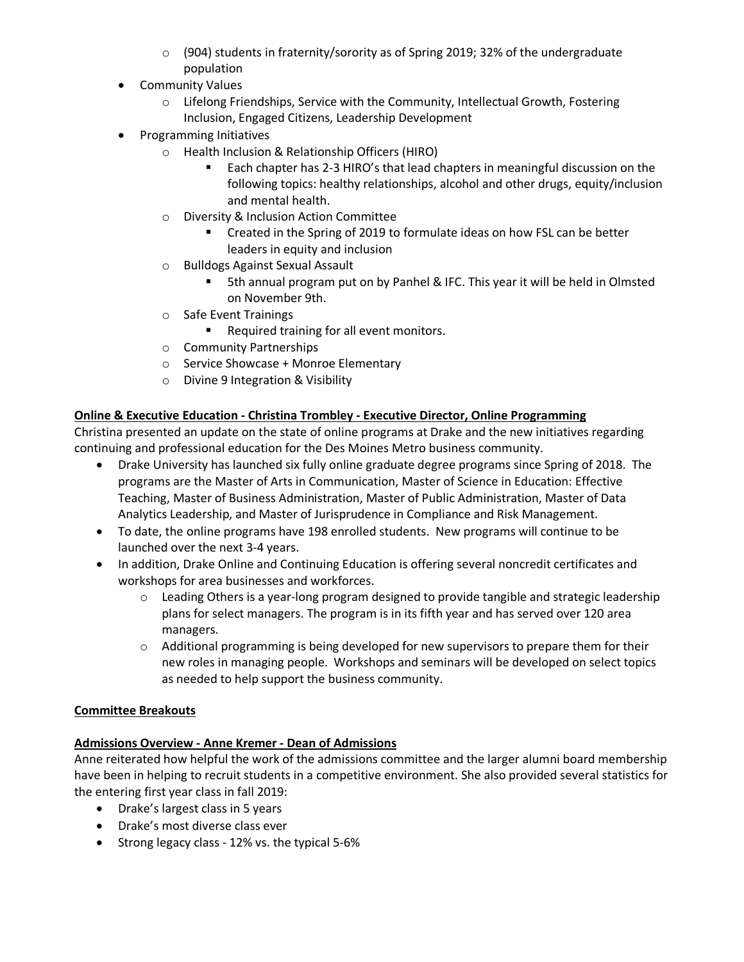- $\circ$  (904) students in fraternity/sorority as of Spring 2019; 32% of the undergraduate population
- Community Values
	- $\circ$  Lifelong Friendships, Service with the Community, Intellectual Growth, Fostering Inclusion, Engaged Citizens, Leadership Development
- Programming Initiatives
	- o Health Inclusion & Relationship Officers (HIRO)
		- Each chapter has 2-3 HIRO's that lead chapters in meaningful discussion on the following topics: healthy relationships, alcohol and other drugs, equity/inclusion and mental health.
	- o Diversity & Inclusion Action Committee
		- Created in the Spring of 2019 to formulate ideas on how FSL can be better leaders in equity and inclusion
	- o Bulldogs Against Sexual Assault
		- § 5th annual program put on by Panhel & IFC. This year it will be held in Olmsted on November 9th.
	- o Safe Event Trainings
		- Required training for all event monitors.
	- o Community Partnerships
	- o Service Showcase + Monroe Elementary
	- o Divine 9 Integration & Visibility

# **Online & Executive Education - Christina Trombley - Executive Director, Online Programming**

Christina presented an update on the state of online programs at Drake and the new initiatives regarding continuing and professional education for the Des Moines Metro business community.

- Drake University has launched six fully online graduate degree programs since Spring of 2018. The programs are the Master of Arts in Communication, Master of Science in Education: Effective Teaching, Master of Business Administration, Master of Public Administration, Master of Data Analytics Leadership, and Master of Jurisprudence in Compliance and Risk Management.
- To date, the online programs have 198 enrolled students. New programs will continue to be launched over the next 3-4 years.
- In addition, Drake Online and Continuing Education is offering several noncredit certificates and workshops for area businesses and workforces.
	- $\circ$  Leading Others is a year-long program designed to provide tangible and strategic leadership plans for select managers. The program is in its fifth year and has served over 120 area managers.
	- $\circ$  Additional programming is being developed for new supervisors to prepare them for their new roles in managing people. Workshops and seminars will be developed on select topics as needed to help support the business community.

## **Committee Breakouts**

## **Admissions Overview - Anne Kremer - Dean of Admissions**

Anne reiterated how helpful the work of the admissions committee and the larger alumni board membership have been in helping to recruit students in a competitive environment. She also provided several statistics for the entering first year class in fall 2019:

- Drake's largest class in 5 years
- Drake's most diverse class ever
- Strong legacy class 12% vs. the typical 5-6%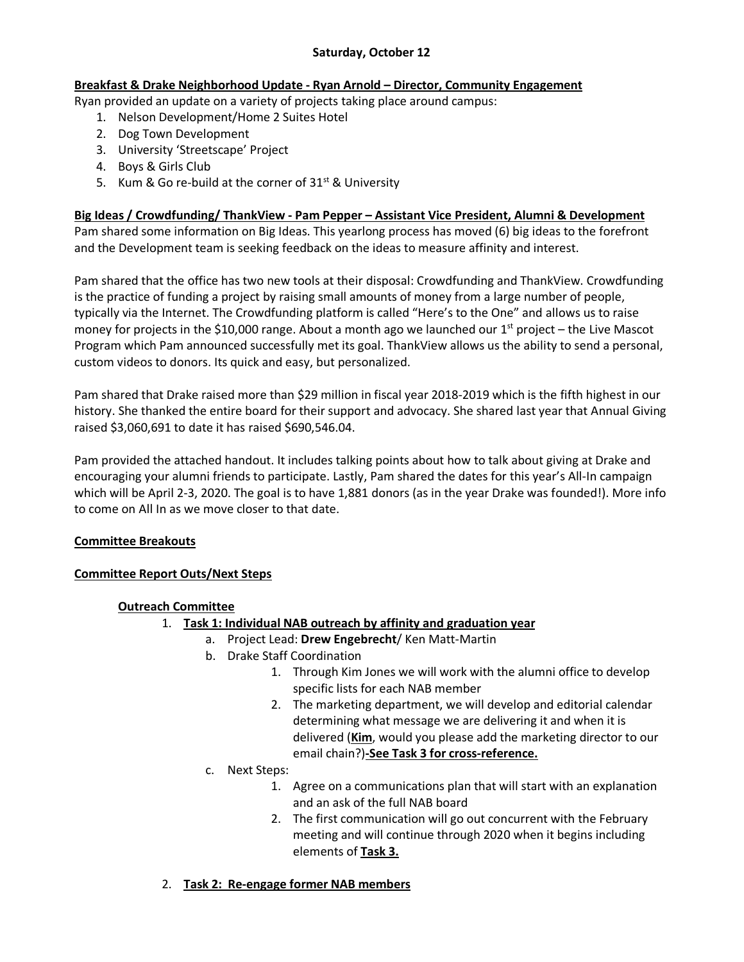## **Saturday, October 12**

## **Breakfast & Drake Neighborhood Update - Ryan Arnold – Director, Community Engagement**

Ryan provided an update on a variety of projects taking place around campus:

- 1. Nelson Development/Home 2 Suites Hotel
- 2. Dog Town Development
- 3. University 'Streetscape' Project
- 4. Boys & Girls Club
- 5. Kum & Go re-build at the corner of  $31<sup>st</sup>$  & University

## **Big Ideas / Crowdfunding/ ThankView - Pam Pepper – Assistant Vice President, Alumni & Development**

Pam shared some information on Big Ideas. This yearlong process has moved (6) big ideas to the forefront and the Development team is seeking feedback on the ideas to measure affinity and interest.

Pam shared that the office has two new tools at their disposal: Crowdfunding and ThankView. Crowdfunding is the practice of funding a project by raising small amounts of money from a large number of people, typically via the Internet. The Crowdfunding platform is called "Here's to the One" and allows us to raise money for projects in the \$10,000 range. About a month ago we launched our  $1<sup>st</sup>$  project – the Live Mascot Program which Pam announced successfully met its goal. ThankView allows us the ability to send a personal, custom videos to donors. Its quick and easy, but personalized.

Pam shared that Drake raised more than \$29 million in fiscal year 2018-2019 which is the fifth highest in our history. She thanked the entire board for their support and advocacy. She shared last year that Annual Giving raised \$3,060,691 to date it has raised \$690,546.04.

Pam provided the attached handout. It includes talking points about how to talk about giving at Drake and encouraging your alumni friends to participate. Lastly, Pam shared the dates for this year's All-In campaign which will be April 2-3, 2020. The goal is to have 1,881 donors (as in the year Drake was founded!). More info to come on All In as we move closer to that date.

## **Committee Breakouts**

## **Committee Report Outs/Next Steps**

## **Outreach Committee**

- 1. **Task 1: Individual NAB outreach by affinity and graduation year**
	- a. Project Lead: **Drew Engebrecht**/ Ken Matt-Martin
	- b. Drake Staff Coordination
		- 1. Through Kim Jones we will work with the alumni office to develop specific lists for each NAB member
		- 2. The marketing department, we will develop and editorial calendar determining what message we are delivering it and when it is delivered (**Kim**, would you please add the marketing director to our email chain?)**-See Task 3 for cross-reference.**
	- c. Next Steps:
		- 1. Agree on a communications plan that will start with an explanation and an ask of the full NAB board
		- 2. The first communication will go out concurrent with the February meeting and will continue through 2020 when it begins including elements of **Task 3.**
- 2. **Task 2: Re-engage former NAB members**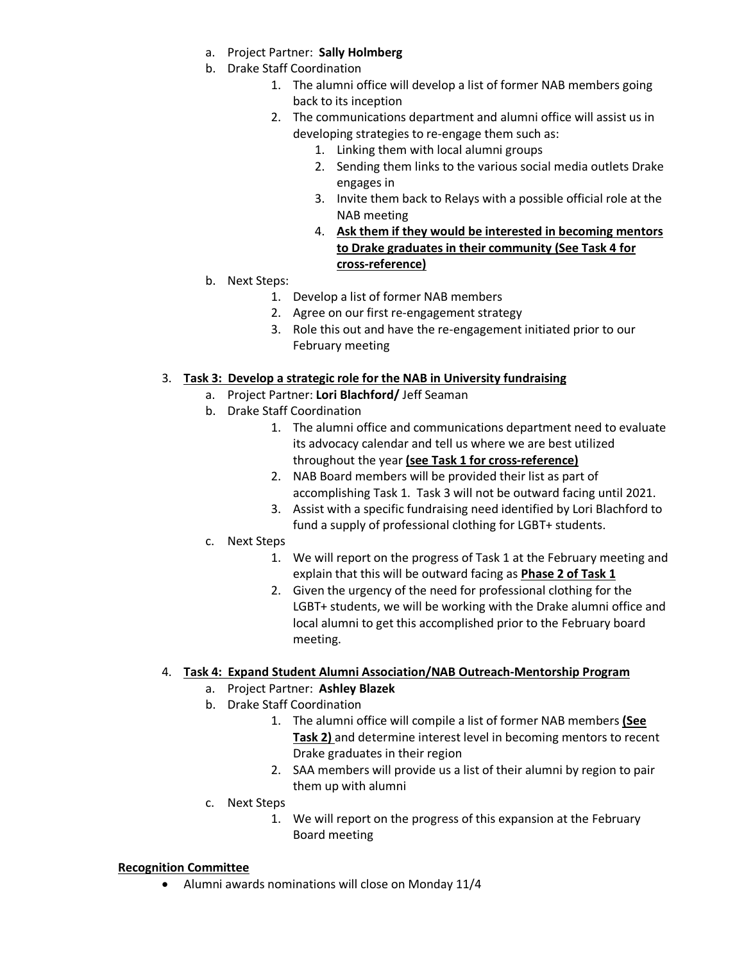- a. Project Partner: **Sally Holmberg**
- b. Drake Staff Coordination
	- 1. The alumni office will develop a list of former NAB members going back to its inception
	- 2. The communications department and alumni office will assist us in developing strategies to re-engage them such as:
		- 1. Linking them with local alumni groups
		- 2. Sending them links to the various social media outlets Drake engages in
		- 3. Invite them back to Relays with a possible official role at the NAB meeting
		- 4. **Ask them if they would be interested in becoming mentors to Drake graduates in their community (See Task 4 for cross-reference)**
- b. Next Steps:
	- 1. Develop a list of former NAB members
	- 2. Agree on our first re-engagement strategy
	- 3. Role this out and have the re-engagement initiated prior to our February meeting

## 3. **Task 3: Develop a strategic role for the NAB in University fundraising**

- a. Project Partner: **Lori Blachford/** Jeff Seaman
- b. Drake Staff Coordination
	- 1. The alumni office and communications department need to evaluate its advocacy calendar and tell us where we are best utilized throughout the year **(see Task 1 for cross-reference)**
	- 2. NAB Board members will be provided their list as part of accomplishing Task 1. Task 3 will not be outward facing until 2021.
	- 3. Assist with a specific fundraising need identified by Lori Blachford to fund a supply of professional clothing for LGBT+ students.
- c. Next Steps
	- 1. We will report on the progress of Task 1 at the February meeting and explain that this will be outward facing as **Phase 2 of Task 1**
	- 2. Given the urgency of the need for professional clothing for the LGBT+ students, we will be working with the Drake alumni office and local alumni to get this accomplished prior to the February board meeting.

## 4. **Task 4: Expand Student Alumni Association/NAB Outreach-Mentorship Program**

- a. Project Partner: **Ashley Blazek**
- b. Drake Staff Coordination
	- 1. The alumni office will compile a list of former NAB members **(See Task 2)** and determine interest level in becoming mentors to recent Drake graduates in their region
	- 2. SAA members will provide us a list of their alumni by region to pair them up with alumni
- c. Next Steps
	- 1. We will report on the progress of this expansion at the February Board meeting

### **Recognition Committee**

• Alumni awards nominations will close on Monday 11/4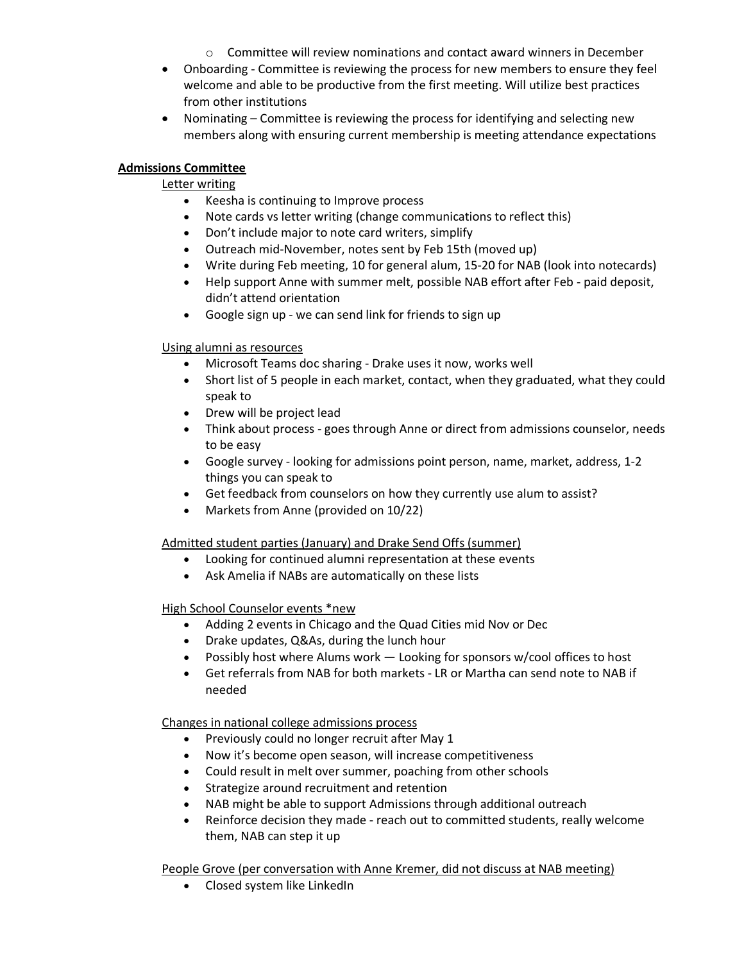- $\circ$  Committee will review nominations and contact award winners in December
- Onboarding Committee is reviewing the process for new members to ensure they feel welcome and able to be productive from the first meeting. Will utilize best practices from other institutions
- Nominating Committee is reviewing the process for identifying and selecting new members along with ensuring current membership is meeting attendance expectations

## **Admissions Committee**

# Letter writing

- Keesha is continuing to Improve process
- Note cards vs letter writing (change communications to reflect this)
- Don't include major to note card writers, simplify
- Outreach mid-November, notes sent by Feb 15th (moved up)
- Write during Feb meeting, 10 for general alum, 15-20 for NAB (look into notecards)
- Help support Anne with summer melt, possible NAB effort after Feb paid deposit, didn't attend orientation
- Google sign up we can send link for friends to sign up

# Using alumni as resources

- Microsoft Teams doc sharing Drake uses it now, works well
- Short list of 5 people in each market, contact, when they graduated, what they could speak to
- Drew will be project lead
- Think about process goes through Anne or direct from admissions counselor, needs to be easy
- Google survey looking for admissions point person, name, market, address, 1-2 things you can speak to
- Get feedback from counselors on how they currently use alum to assist?
- Markets from Anne (provided on 10/22)

# Admitted student parties (January) and Drake Send Offs (summer)

- Looking for continued alumni representation at these events
- Ask Amelia if NABs are automatically on these lists

# High School Counselor events \*new

- Adding 2 events in Chicago and the Quad Cities mid Nov or Dec
- Drake updates, Q&As, during the lunch hour
- Possibly host where Alums work Looking for sponsors w/cool offices to host
- Get referrals from NAB for both markets LR or Martha can send note to NAB if needed

# Changes in national college admissions process

- Previously could no longer recruit after May 1
- Now it's become open season, will increase competitiveness
- Could result in melt over summer, poaching from other schools
- Strategize around recruitment and retention
- NAB might be able to support Admissions through additional outreach
- Reinforce decision they made reach out to committed students, really welcome them, NAB can step it up

# People Grove (per conversation with Anne Kremer, did not discuss at NAB meeting)

• Closed system like LinkedIn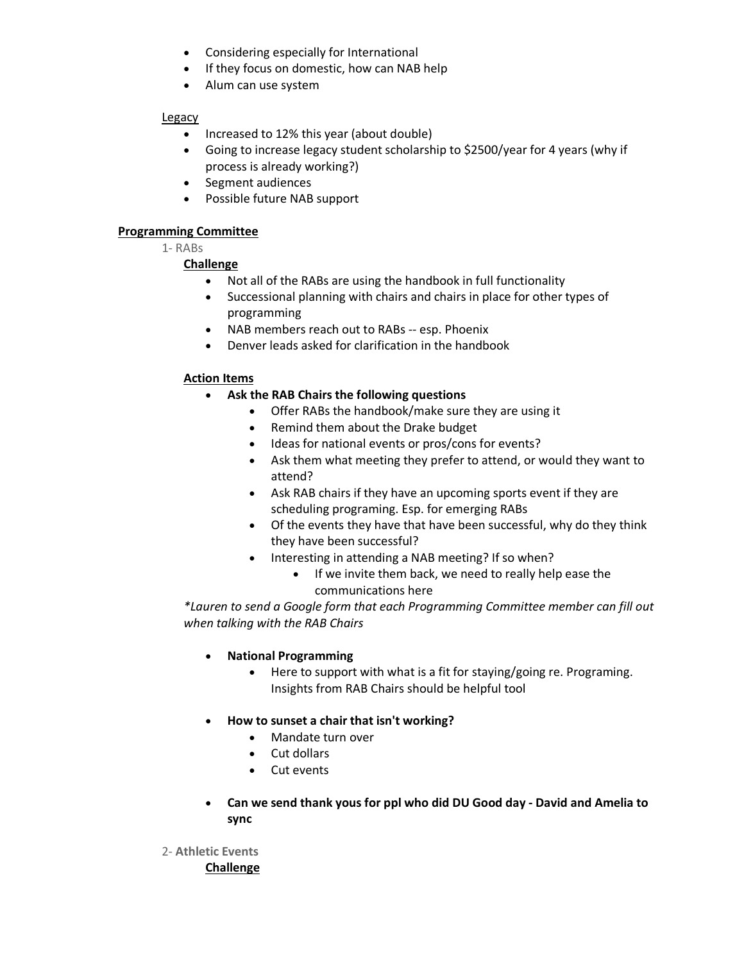- Considering especially for International
- If they focus on domestic, how can NAB help
- Alum can use system

### Legacy

- Increased to 12% this year (about double)
- Going to increase legacy student scholarship to \$2500/year for 4 years (why if process is already working?)
- Segment audiences
- Possible future NAB support

## **Programming Committee**

1- RABs

## **Challenge**

- Not all of the RABs are using the handbook in full functionality
- Successional planning with chairs and chairs in place for other types of programming
- NAB members reach out to RABs -- esp. Phoenix
- Denver leads asked for clarification in the handbook

## **Action Items**

- **Ask the RAB Chairs the following questions**
	- Offer RABs the handbook/make sure they are using it
	- Remind them about the Drake budget
	- Ideas for national events or pros/cons for events?
	- Ask them what meeting they prefer to attend, or would they want to attend?
	- Ask RAB chairs if they have an upcoming sports event if they are scheduling programing. Esp. for emerging RABs
	- Of the events they have that have been successful, why do they think they have been successful?
	- Interesting in attending a NAB meeting? If so when?
		- If we invite them back, we need to really help ease the communications here

*\*Lauren to send a Google form that each Programming Committee member can fill out when talking with the RAB Chairs*

- **National Programming**
	- Here to support with what is a fit for staying/going re. Programing. Insights from RAB Chairs should be helpful tool
- **How to sunset a chair that isn't working?**
	- Mandate turn over
	- Cut dollars
	- Cut events
- **Can we send thank yous for ppl who did DU Good day - David and Amelia to sync**
- 2- **Athletic Events Challenge**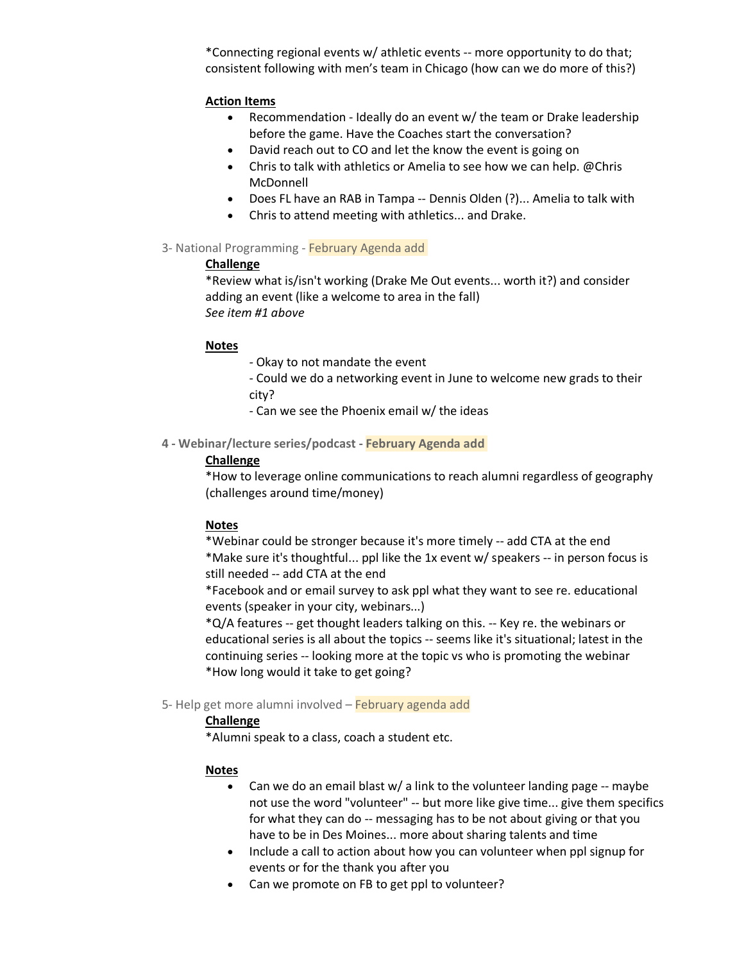\*Connecting regional events w/ athletic events -- more opportunity to do that; consistent following with men's team in Chicago (how can we do more of this?)

#### **Action Items**

- Recommendation Ideally do an event w/ the team or Drake leadership before the game. Have the Coaches start the conversation?
- David reach out to CO and let the know the event is going on
- Chris to talk with athletics or Amelia to see how we can help. @Chris McDonnell
- Does FL have an RAB in Tampa -- Dennis Olden (?)... Amelia to talk with
- Chris to attend meeting with athletics... and Drake.

### 3- National Programming - February Agenda add

#### **Challenge**

\*Review what is/isn't working (Drake Me Out events... worth it?) and consider adding an event (like a welcome to area in the fall) *See item #1 above*

#### **Notes**

- *-* Okay to not mandate the event
- Could we do a networking event in June to welcome new grads to their city?
- Can we see the Phoenix email w/ the ideas
- **4 - Webinar/lecture series/podcast - February Agenda add**

### **Challenge**

\*How to leverage online communications to reach alumni regardless of geography (challenges around time/money)

### **Notes**

\*Webinar could be stronger because it's more timely -- add CTA at the end \*Make sure it's thoughtful... ppl like the 1x event w/ speakers -- in person focus is still needed -- add CTA at the end

\*Facebook and or email survey to ask ppl what they want to see re. educational events (speaker in your city, webinars...)

\*Q/A features -- get thought leaders talking on this. -- Key re. the webinars or educational series is all about the topics -- seems like it's situational; latest in the continuing series -- looking more at the topic vs who is promoting the webinar \*How long would it take to get going?

#### 5- Help get more alumni involved – February agenda add

### **Challenge**

\*Alumni speak to a class, coach a student etc.

### **Notes**

- Can we do an email blast w/ a link to the volunteer landing page -- maybe not use the word "volunteer" -- but more like give time... give them specifics for what they can do -- messaging has to be not about giving or that you have to be in Des Moines... more about sharing talents and time
- Include a call to action about how you can volunteer when ppl signup for events or for the thank you after you
- Can we promote on FB to get ppl to volunteer?